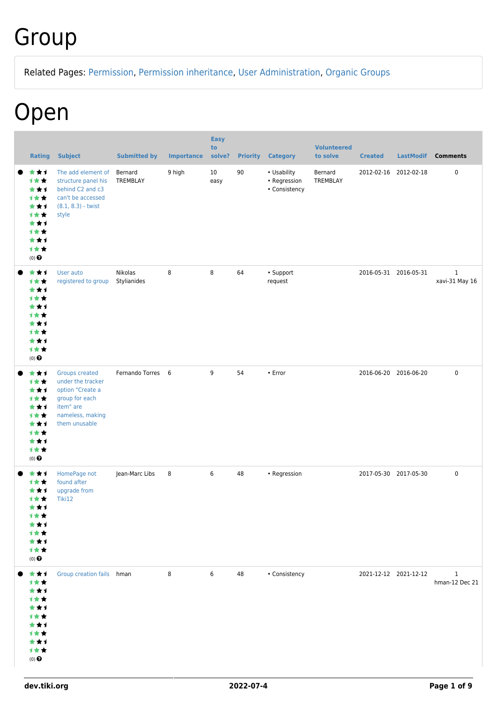### Group

Related Pages: [Permission,](https://dev.tiki.org/Permission) [Permission inheritance](https://dev.tiki.org/Permission-inheritance), [User Administration,](https://dev.tiki.org/User-Administration) [Organic Groups](https://dev.tiki.org/Organic-Groups)

#### Open

| <b>Rating</b>                                                                                 | <b>Subject</b>                                                                                                                     | <b>Submitted by</b>    | <b>Importance</b> | <b>Easy</b><br>to<br>solve? | <b>Priority</b> | <b>Category</b>                              | <b>Volunteered</b><br>to solve | <b>Created</b>        | <b>LastModif</b>      | <b>Comments</b>                |
|-----------------------------------------------------------------------------------------------|------------------------------------------------------------------------------------------------------------------------------------|------------------------|-------------------|-----------------------------|-----------------|----------------------------------------------|--------------------------------|-----------------------|-----------------------|--------------------------------|
| ***<br>计女女<br>***<br>1★★<br>***<br>计女女<br>***<br>计女女<br>***<br>1★★<br>$(0)$ $\odot$           | The add element of<br>structure panel his<br>behind C2 and c3<br>can't be accessed<br>$(8.1, 8.3)$ - twist<br>style                | Bernard<br>TREMBLAY    | 9 high            | 10<br>easy                  | 90              | • Usability<br>• Regression<br>• Consistency | Bernard<br>TREMBLAY            |                       | 2012-02-16 2012-02-18 | $\pmb{0}$                      |
| ***<br>计女女<br>***<br>1★★<br>***<br>计女女<br>***<br>计女女<br>***<br>1★★<br>$(0)$ $\odot$           | User auto<br>registered to group                                                                                                   | Nikolas<br>Stylianides | 8                 | 8                           | 64              | • Support<br>request                         |                                | 2016-05-31 2016-05-31 |                       | $\mathbf{1}$<br>xavi-31 May 16 |
| ***<br>计女女<br>***<br>1★★<br>***<br>计女女<br>***<br>1★★<br>***<br>计女女<br>$(0)$ $\odot$           | <b>Groups created</b><br>under the tracker<br>option "Create a<br>group for each<br>item" are<br>nameless, making<br>them unusable | Fernando Torres 6      |                   | 9                           | 54              | • Error                                      |                                | 2016-06-20 2016-06-20 |                       | $\pmb{0}$                      |
| ***<br>计女女<br>***<br>计女女<br>***<br>计女女<br>***<br>计女女<br>***<br>计女女<br>$(0)$<br>$\pmb{\Theta}$ | HomePage not<br>found after<br>upgrade from<br>Tiki12                                                                              | Jean-Marc Libs         | 8                 | 6                           | 48              | • Regression                                 |                                |                       | 2017-05-30 2017-05-30 | $\pmb{0}$                      |
| ***<br>计女女<br>***<br>计女女<br>***<br>计女女<br>***<br>计女女<br>***<br>计女女<br>$(0)$<br>$\pmb{\Theta}$ | Group creation fails hman                                                                                                          |                        | 8                 | 6                           | 48              | • Consistency                                |                                |                       | 2021-12-12 2021-12-12 | $\mathbf{1}$<br>hman-12 Dec 21 |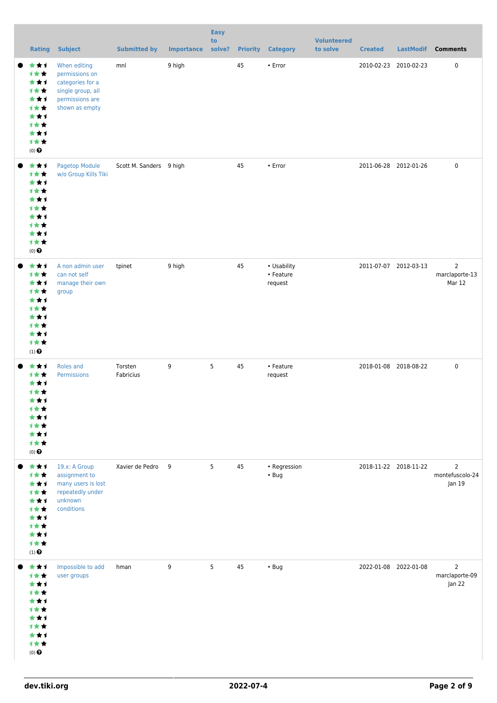| <b>Rating</b>                                                                                   | <b>Subject</b>                                                                                               | <b>Submitted by</b>     | <b>Importance</b> | <b>Easy</b><br>to<br>solve? |    | <b>Priority Category</b>            | <b>Volunteered</b><br>to solve | <b>Created</b>        | LastModif | <b>Comments</b>                             |
|-------------------------------------------------------------------------------------------------|--------------------------------------------------------------------------------------------------------------|-------------------------|-------------------|-----------------------------|----|-------------------------------------|--------------------------------|-----------------------|-----------|---------------------------------------------|
| ***<br>计女女<br>***<br>1★★<br>***<br>计女女<br>***<br>1女女<br>***<br>计女女<br>$(0)$<br>$\pmb{\Theta}$   | When editing<br>permissions on<br>categories for a<br>single group, all<br>permissions are<br>shown as empty | mnl                     | 9 high            |                             | 45 | $\cdot$ Error                       |                                | 2010-02-23 2010-02-23 |           | 0                                           |
| ***<br>计女女<br>***<br>计女女<br>***<br>计女女<br>***<br>计女女<br>***<br>计女女<br>$(0)$<br>$\pmb{\Theta}$   | Pagetop Module<br>w/o Group Kills Tiki                                                                       | Scott M. Sanders 9 high |                   |                             | 45 | $\cdot$ Error                       |                                | 2011-06-28 2012-01-26 |           | $\pmb{0}$                                   |
| ***<br>计女女<br>***<br>1女女<br>***<br>计女女<br>***<br>计女女<br>***<br>计女女<br>$(1)$ $\odot$             | A non admin user<br>can not self<br>manage their own<br>group                                                | tpinet                  | 9 high            |                             | 45 | • Usability<br>• Feature<br>request |                                | 2011-07-07 2012-03-13 |           | $\overline{2}$<br>marclaporte-13<br>Mar 12  |
| ***<br>计女女<br>***<br>计女女<br>***<br>计女女<br>* * 1<br>计女女<br>***<br>计女女<br>$(0)$<br>$\pmb{\Theta}$ | Roles and<br><b>Permissions</b>                                                                              | Torsten<br>Fabricius    | 9                 | 5                           | 45 | • Feature<br>request                |                                | 2018-01-08 2018-08-22 |           | $\pmb{0}$                                   |
| ***<br>1★★<br>***<br>计女女<br>***<br>计女女<br>***<br>计女女<br>***<br>计女女<br>$(1)$<br>$\pmb{\Theta}$   | 19.x: A Group<br>assignment to<br>many users is lost<br>repeatedly under<br>unknown<br>conditions            | Xavier de Pedro 9       |                   | 5                           | 45 | • Regression<br>$\cdot$ Bug         |                                | 2018-11-22 2018-11-22 |           | $\overline{2}$<br>montefuscolo-24<br>Jan 19 |
| ***<br>计女女<br>***<br>计女女<br>***<br>计女女<br>***<br>计女女<br>***<br>计女女<br>$(0)$<br>$\pmb{\Theta}$   | Impossible to add<br>user groups                                                                             | hman                    | 9                 | 5                           | 45 | $\cdot$ Bug                         |                                | 2022-01-08 2022-01-08 |           | $\overline{2}$<br>marclaporte-09<br>Jan 22  |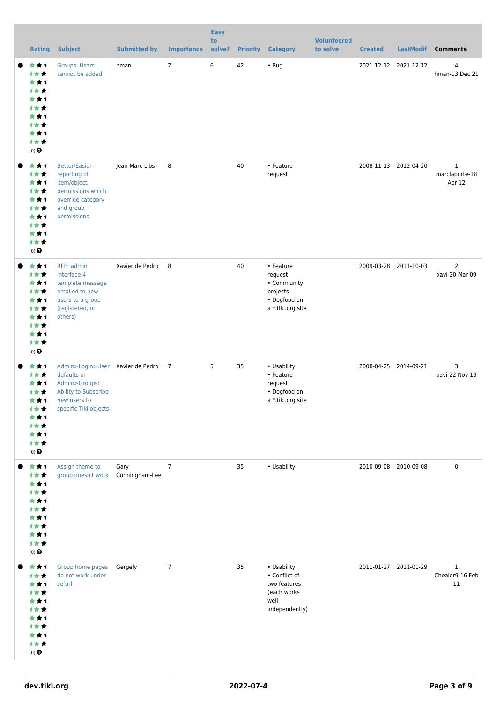| <b>Rating</b>                                                                          | <b>Subject</b>                                                                                                                    | <b>Submitted by</b> | <b>Importance</b> | <b>Easy</b><br>to<br>solve? | <b>Priority</b> | <b>Category</b>                                                                       | <b>Volunteered</b><br>to solve | <b>Created</b>        | <b>LastModif</b>      | <b>Comments</b>                          |
|----------------------------------------------------------------------------------------|-----------------------------------------------------------------------------------------------------------------------------------|---------------------|-------------------|-----------------------------|-----------------|---------------------------------------------------------------------------------------|--------------------------------|-----------------------|-----------------------|------------------------------------------|
| ***<br>1★★<br>***<br>1★★<br>***<br>计女女<br>***<br>计女女<br>***<br>计女女<br>$(0)$ $\odot$    | <b>Groups: Users</b><br>cannot be added                                                                                           | hman                | $\overline{7}$    | 6                           | 42              | $\cdot$ Bug                                                                           |                                |                       | 2021-12-12 2021-12-12 | $\overline{4}$<br>hman-13 Dec 21         |
| ***<br>1★★<br>***<br>1★★<br>***<br>1★★<br>***<br>1★★<br>***<br>1★★<br>$(0)$ $\odot$    | <b>Better/Easier</b><br>reporting of<br>item/object<br>permissions which<br>override category<br>and group<br>permissions         | Jean-Marc Libs      | 8                 |                             | 40              | • Feature<br>request                                                                  |                                |                       | 2008-11-13 2012-04-20 | $\mathbf{1}$<br>marclaporte-18<br>Apr 12 |
| ***<br>1★★<br>***<br>1★★<br>***<br>计女女<br>***<br>1★★<br>***<br>计女女<br>$(0)$ $\odot$    | RFE: admin<br>interface 4<br>template message<br>emailed to new<br>users to a group<br>(registered, or<br>others)                 | Xavier de Pedro     | 8                 |                             | 40              | • Feature<br>request<br>• Community<br>projects<br>• Dogfood on<br>a *.tiki.org site  |                                |                       | 2009-03-28 2011-10-03 | 2<br>xavi-30 Mar 09                      |
| ***<br>1★★<br>***<br>1★★<br>***<br>计女女<br>***<br>1★★<br>***<br>计女女<br>$(0)$ $\bigodot$ | Admin>Login>User Xavier de Pedro<br>defaults or<br>Admin>Groups:<br>Ability to Subscribe<br>new users to<br>specific Tiki objects |                     | $\overline{7}$    | 5                           | 35              | • Usability<br>• Feature<br>request<br>• Dogfood on<br>a *.tiki.org site              |                                | 2008-04-25 2014-09-21 |                       | 3<br>xavi-22 Nov 13                      |
| ***<br>计女女<br>***<br>1★★<br>***<br>计女女<br>***<br>计女女<br>***<br>计女女<br>$(0)$ $\bigodot$ | Assign theme to<br>group doesn't work Cunningham-Lee                                                                              | Gary                | $\overline{7}$    |                             | 35              | • Usability                                                                           |                                | 2010-09-08 2010-09-08 |                       | 0                                        |
| ★★↑<br>1★★<br>***<br>1★★<br>***<br>计女女<br>***<br>计女女<br>***<br>计女女<br>$(0)$ $\odot$    | Group home pages<br>do not work under<br>sefurl                                                                                   | Gergely             | $\overline{7}$    |                             | 35              | • Usability<br>• Conflict of<br>two features<br>(each works<br>well<br>independently) |                                | 2011-01-27 2011-01-29 |                       | 1<br>Chealer9-16 Feb<br>11               |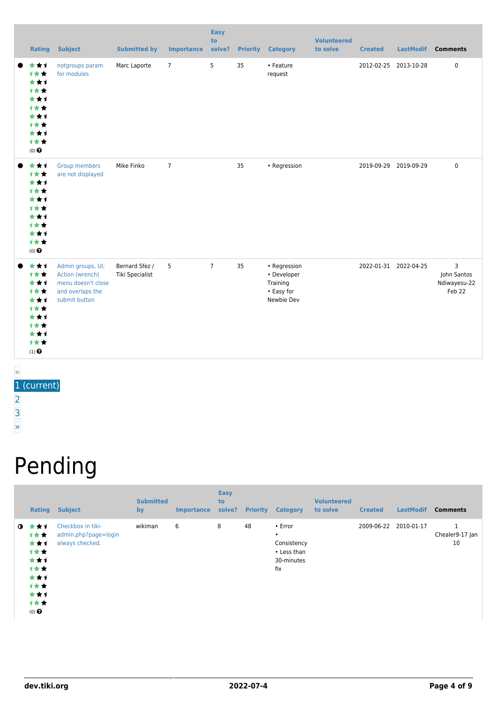| Rating                                                                                                    | <b>Subject</b>                                                                                  | <b>Submitted by</b>               | <b>Importance</b> | <b>Easy</b><br>to<br>solve? | <b>Priority</b> | <b>Category</b>                                                     | <b>Volunteered</b><br>to solve | <b>Created</b>        | <b>LastModif</b> | <b>Comments</b>                                         |
|-----------------------------------------------------------------------------------------------------------|-------------------------------------------------------------------------------------------------|-----------------------------------|-------------------|-----------------------------|-----------------|---------------------------------------------------------------------|--------------------------------|-----------------------|------------------|---------------------------------------------------------|
| ***<br>***<br>***<br>***<br>***<br>***<br>***<br><b>1**</b><br>***<br>1★★<br>$(0)$ $\odot$                | notgroups param<br>for modules                                                                  | Marc Laporte                      | $7^{\circ}$       | 5                           | 35              | • Feature<br>request                                                |                                | 2012-02-25 2013-10-28 |                  | $\pmb{0}$                                               |
| ***<br>***<br>***<br>***<br>***<br>***<br>***<br>***<br>***<br>计女女<br>$(0)$ $\odot$                       | Group members<br>are not displayed                                                              | Mike Finko                        | $\overline{7}$    |                             | 35              | • Regression                                                        |                                | 2019-09-29 2019-09-29 |                  | $\mathbf 0$                                             |
| ***<br>1**<br>***<br>计女女<br>***<br>***<br>***<br>***<br>***<br>计女女<br>$(1)$ <sup><math>\odot</math></sup> | Admin groups, UI;<br>Action (wrench)<br>menu doesn't close<br>and overlaps the<br>submit button | Bernard Sfez /<br>Tiki Specialist | 5                 | $\overline{7}$              | 35              | • Regression<br>• Developer<br>Training<br>• Easy for<br>Newbie Dev |                                | 2022-01-31 2022-04-25 |                  | $\overline{3}$<br>John Santos<br>Ndiwayesu-22<br>Feb 22 |

« 1 (current) [2](https://dev.tiki.org/tiki-print.php?page=Group&tr_offset1=20) [3](https://dev.tiki.org/tiki-print.php?page=Group&tr_offset1=40) [»](https://dev.tiki.org/tiki-print.php?page=Group&tr_offset1=20)

# Pending

|              | Rating                                                                                | <b>Subject</b>                                               | <b>Submitted</b><br>by | <b>Importance</b> | <b>Easy</b><br>to<br>solve? | <b>Priority</b> | <b>Category</b>                                                         | <b>Volunteered</b><br>to solve | <b>Created</b> | <b>LastModif</b> | <b>Comments</b>            |
|--------------|---------------------------------------------------------------------------------------|--------------------------------------------------------------|------------------------|-------------------|-----------------------------|-----------------|-------------------------------------------------------------------------|--------------------------------|----------------|------------------|----------------------------|
| $\mathbf{0}$ | * * 1<br>计女女<br>***<br>计女女<br>***<br>1★★<br>***<br>计女女<br>***<br>计女女<br>$(0)$ $\odot$ | Checkbox in tiki-<br>admin.php?page=login<br>always checked. | wikiman                | 6                 | 8                           | 48              | • Error<br>$\bullet$<br>Consistency<br>• Less than<br>30-minutes<br>fix |                                | 2009-06-22     | 2010-01-17       | 1<br>Chealer9-17 Jan<br>10 |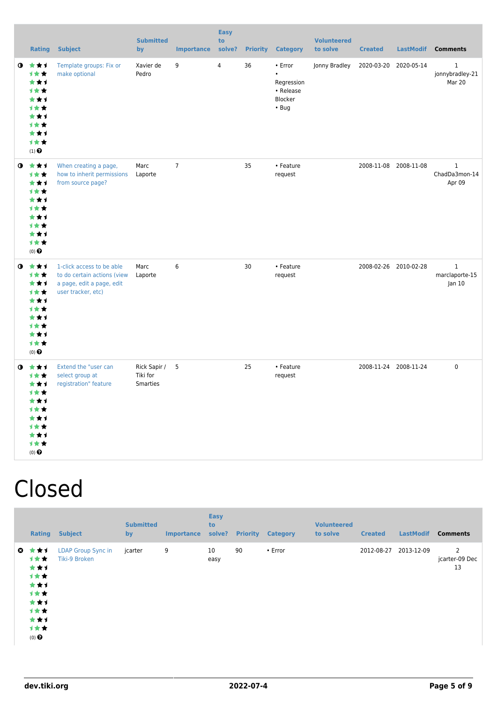|           | <b>Rating</b>                                                                                                                             | <b>Subject</b>                                                                                              | <b>Submitted</b><br>by               | <b>Importance</b> | <b>Easy</b><br>to<br>solve? | <b>Priority</b> | <b>Category</b>                                                           | <b>Volunteered</b><br>to solve | <b>Created</b> | <b>LastModif</b>      | <b>Comments</b>                          |
|-----------|-------------------------------------------------------------------------------------------------------------------------------------------|-------------------------------------------------------------------------------------------------------------|--------------------------------------|-------------------|-----------------------------|-----------------|---------------------------------------------------------------------------|--------------------------------|----------------|-----------------------|------------------------------------------|
|           | $0 \star \star \star$<br>1★★<br>***<br><b>1**</b><br>***<br>计女女<br>***<br><b>1**</b><br>***<br>计女女<br>$(1)$ <sup><math>\odot</math></sup> | Template groups: Fix or<br>make optional                                                                    | Xavier de<br>Pedro                   | 9                 | 4                           | 36              | • Error<br>$\bullet$<br>Regression<br>• Release<br>Blocker<br>$\cdot$ Bug | Jonny Bradley                  |                | 2020-03-20 2020-05-14 | 1<br>jonnybradley-21<br>Mar 20           |
|           | $0 \star \star \star$<br>1★★<br>***<br><b>1**</b><br>***<br><b>1**</b><br>***<br>计女女<br>***<br>1★★<br>$(0)$ $\odot$                       | When creating a page,<br>how to inherit permissions<br>from source page?                                    | Marc<br>Laporte                      | $\overline{7}$    |                             | 35              | • Feature<br>request                                                      |                                |                | 2008-11-08 2008-11-08 | 1<br>ChadDa3mon-14<br>Apr 09             |
|           | $0$ $\star\star\star$<br>1★★<br>***<br>计女女<br>***<br><b>1**</b><br>***<br><b>1**</b><br>***<br>1★★<br>$(0)$ $\odot$                       | 1-click access to be able<br>to do certain actions (view<br>a page, edit a page, edit<br>user tracker, etc) | Marc<br>Laporte                      | 6                 |                             | 30              | • Feature<br>request                                                      |                                |                | 2008-02-26 2010-02-28 | $\mathbf{1}$<br>marclaporte-15<br>Jan 10 |
| $\bullet$ | ***<br>1★★<br>***<br>计女女<br>***<br>计女女<br>***<br>1★★<br>***<br>计女女<br>$(0)$ $\odot$                                                       | Extend the "user can<br>select group at<br>registration" feature                                            | Rick Sapir /<br>Tiki for<br>Smarties | 5                 |                             | 25              | • Feature<br>request                                                      |                                |                | 2008-11-24 2008-11-24 | $\pmb{0}$                                |

#### Closed

|           | Rating                                                                              | <b>Subject</b>                             | <b>Submitted</b><br>by | <b>Importance</b> | <b>Easy</b><br>to<br>solve? | <b>Priority</b> | <b>Category</b> | <b>Volunteered</b><br>to solve | <b>Created</b> | <b>LastModif</b> | <b>Comments</b>           |
|-----------|-------------------------------------------------------------------------------------|--------------------------------------------|------------------------|-------------------|-----------------------------|-----------------|-----------------|--------------------------------|----------------|------------------|---------------------------|
| $\bullet$ | ***<br>1★★<br>***<br>计女女<br>***<br>计女女<br>***<br>计女女<br>***<br>计女女<br>$(0)$ $\odot$ | <b>LDAP Group Sync in</b><br>Tiki-9 Broken | jcarter                | 9                 | 10<br>easy                  | 90              | $\cdot$ Error   |                                | 2012-08-27     | 2013-12-09       | 2<br>jcarter-09 Dec<br>13 |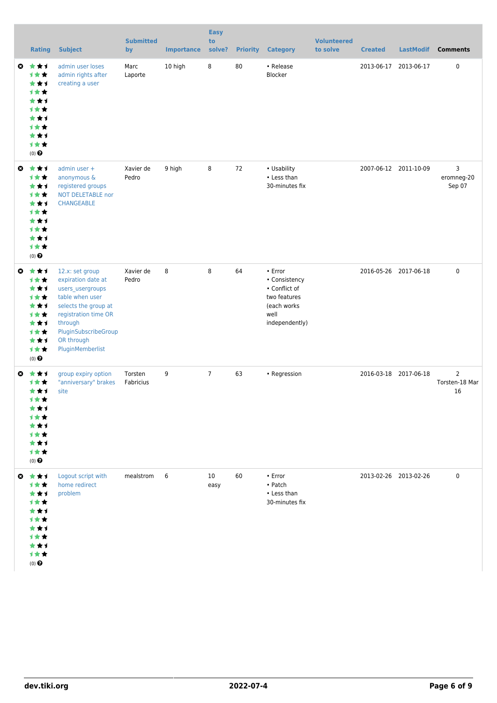|    | <b>Rating</b>                                                                                                   | <b>Subject</b>                                                                                                                                                                                    | <b>Submitted</b><br>by | <b>Importance</b> | <b>Easy</b><br>to<br>solve? | <b>Priority</b> | <b>Category</b>                                                                                          | <b>Volunteered</b><br>to solve | <b>Created</b>        | <b>LastModif</b>      | <b>Comments</b>           |
|----|-----------------------------------------------------------------------------------------------------------------|---------------------------------------------------------------------------------------------------------------------------------------------------------------------------------------------------|------------------------|-------------------|-----------------------------|-----------------|----------------------------------------------------------------------------------------------------------|--------------------------------|-----------------------|-----------------------|---------------------------|
| O  | ***<br>1★★<br>***<br><b>1**</b><br>***<br><b>1**</b><br>***<br><b>1**</b><br>***<br>1★★<br>$(0)$ $\odot$        | admin user loses<br>admin rights after<br>creating a user                                                                                                                                         | Marc<br>Laporte        | 10 high           | 8                           | 80              | • Release<br>Blocker                                                                                     |                                |                       | 2013-06-17 2013-06-17 | $\pmb{0}$                 |
| ◎  | ***<br>计女女<br>★★1<br><b>1**</b><br>***<br><b>1**</b><br>***<br><b>1**</b><br>***<br><b>1**</b><br>$(0)$ $\odot$ | admin user +<br>anonymous &<br>registered groups<br><b>NOT DELETABLE nor</b><br><b>CHANGEABLE</b>                                                                                                 | Xavier de<br>Pedro     | 9 high            | 8                           | 72              | • Usability<br>• Less than<br>30-minutes fix                                                             |                                |                       | 2007-06-12 2011-10-09 | 3<br>eromneg-20<br>Sep 07 |
| O  | ***<br>1★★<br>***<br><b>1**</b><br>***<br>1★★<br>***<br>计女女<br>***<br>1★★<br>$(0)$ $\odot$                      | 12.x: set group<br>expiration date at<br>users_usergroups<br>table when user<br>selects the group at<br>registration time OR<br>through<br>PluginSubscribeGroup<br>OR through<br>PluginMemberlist | Xavier de<br>Pedro     | 8                 | 8                           | 64              | $\cdot$ Error<br>• Consistency<br>• Conflict of<br>two features<br>(each works<br>well<br>independently) |                                |                       | 2016-05-26 2017-06-18 | $\pmb{0}$                 |
| O. | 大大士<br>1 * *<br>***<br>计女女<br>***<br>1 * *<br>★★1<br>计女女<br>***<br>计女女<br>$(0)$ $\odot$                         | group expiry option<br>"anniversary" brakes<br>site                                                                                                                                               | Torsten<br>Fabricius   | 9                 | $\overline{7}$              | 63              | • Regression                                                                                             |                                | 2016-03-18 2017-06-18 |                       | 2<br>Torsten-18 Mar<br>16 |
|    | ◎ ★★1<br>1★★<br>***<br>计女女<br>***<br>计女女<br>***<br>计女女<br>***<br>计女女<br>$(0)$ $\odot$                           | Logout script with<br>home redirect<br>problem                                                                                                                                                    | mealstrom              | 6                 | 10<br>easy                  | 60              | • Error<br>$\bullet$ Patch<br>• Less than<br>30-minutes fix                                              |                                | 2013-02-26 2013-02-26 |                       | $\pmb{0}$                 |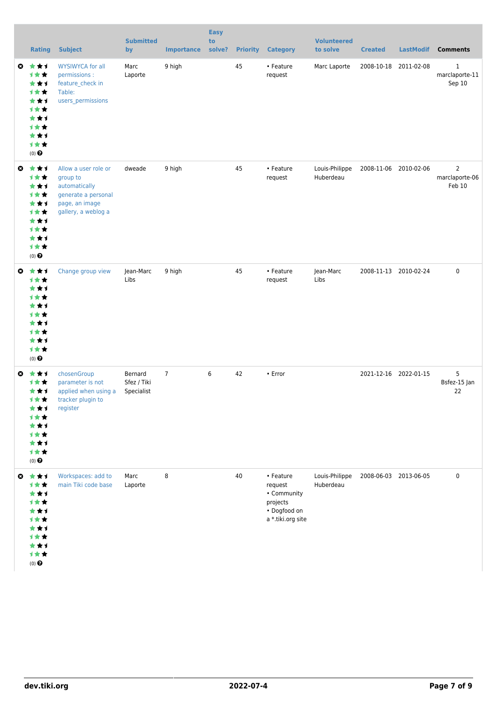|                       | <b>Rating</b>                                                                                                   | <b>Subject</b>                                                                                                    | <b>Submitted</b><br>by               | <b>Importance</b> | <b>Easy</b><br>to<br>solve? | <b>Priority</b> | <b>Category</b>                                                                      | <b>Volunteered</b><br>to solve | <b>Created</b>        | <b>LastModif</b> | <b>Comments</b>                          |
|-----------------------|-----------------------------------------------------------------------------------------------------------------|-------------------------------------------------------------------------------------------------------------------|--------------------------------------|-------------------|-----------------------------|-----------------|--------------------------------------------------------------------------------------|--------------------------------|-----------------------|------------------|------------------------------------------|
| ◎                     | ***<br>1★★<br>***<br><b>1**</b><br>***<br>1★★<br>***<br>计女女<br>***<br>1★★<br>$(0)$ $\odot$                      | <b>WYSIWYCA for all</b><br>permissions :<br>feature_check in<br>Table:<br>users_permissions                       | Marc<br>Laporte                      | 9 high            |                             | 45              | • Feature<br>request                                                                 | Marc Laporte                   | 2008-10-18 2011-02-08 |                  | $\mathbf{1}$<br>marclaporte-11<br>Sep 10 |
| $\boldsymbol{\omega}$ | ***<br>计女女<br>***<br>1★★<br>***<br>计女女<br>***<br>1★★<br>***<br>1★★<br>$(0)$ $\odot$                             | Allow a user role or<br>group to<br>automatically<br>generate a personal<br>page, an image<br>gallery, a weblog a | dweade                               | 9 high            |                             | 45              | • Feature<br>request                                                                 | Louis-Philippe<br>Huberdeau    | 2008-11-06 2010-02-06 |                  | 2<br>marclaporte-06<br>Feb 10            |
| O                     | ***<br><b>1**</b><br>***<br><b>1**</b><br>***<br><b>1**</b><br>***<br><b>1**</b><br>***<br>1**<br>$(0)$ $\odot$ | Change group view                                                                                                 | Jean-Marc<br>Libs                    | 9 high            |                             | 45              | • Feature<br>request                                                                 | Jean-Marc<br>Libs              | 2008-11-13 2010-02-24 |                  | $\pmb{0}$                                |
| O                     | ***<br><b>1★★</b><br>***<br>计女女<br>***<br><b>1**</b><br>★★1<br>计女女<br>***<br>计女女<br>$(0)$ $\odot$               | chosenGroup<br>parameter is not<br>applied when using a<br>tracker plugin to<br>register                          | Bernard<br>Sfez / Tiki<br>Specialist | $\overline{7}$    | 6                           | 42              | • Error                                                                              |                                | 2021-12-16 2022-01-15 |                  | 5<br>Bsfez-15 Jan<br>22                  |
| ◎                     | ***<br>1★★<br>***<br>计女女<br>***<br>计女女<br>***<br><b>1**</b><br>***<br>1★★<br>$(0)$ $\bigodot$                   | Workspaces: add to<br>main Tiki code base                                                                         | Marc<br>Laporte                      | 8                 |                             | 40              | • Feature<br>request<br>• Community<br>projects<br>• Dogfood on<br>a *.tiki.org site | Louis-Philippe<br>Huberdeau    | 2008-06-03 2013-06-05 |                  | $\pmb{0}$                                |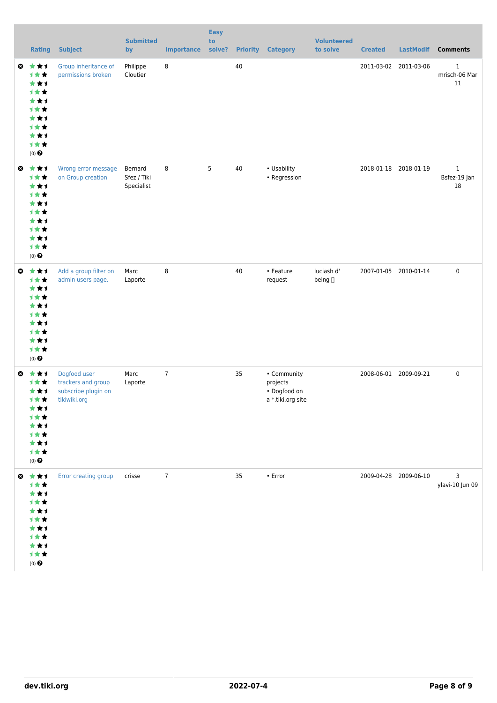|           | <b>Rating</b>                                                                                                       | <b>Subject</b>                                                            | <b>Submitted</b><br>by               | <b>Importance</b> | <b>Easy</b><br>to<br>solve? |    | <b>Priority Category</b>                                     | <b>Volunteered</b><br>to solve | <b>Created</b>        | <b>LastModif</b>      | <b>Comments</b>                         |
|-----------|---------------------------------------------------------------------------------------------------------------------|---------------------------------------------------------------------------|--------------------------------------|-------------------|-----------------------------|----|--------------------------------------------------------------|--------------------------------|-----------------------|-----------------------|-----------------------------------------|
|           | $0$ $\star$ $\star$ $1$<br>***<br>***<br>计女女<br>***<br>计女女<br>***<br>1★★<br>***<br>计女女<br>$(0)$ $\Theta$            | Group inheritance of<br>permissions broken                                | Philippe<br>Cloutier                 | 8                 |                             | 40 |                                                              |                                |                       | 2011-03-02 2011-03-06 | $\mathbf{1}$<br>mrisch-06 Mar<br>$11\,$ |
|           | $0$ $\star$ $\star$ $\star$<br>计女女<br>***<br>计女女<br>***<br><b>1**</b><br>***<br>计女女<br>***<br>计女女<br>$(0)$ $\Theta$ | Wrong error message<br>on Group creation                                  | Bernard<br>Sfez / Tiki<br>Specialist | 8                 | 5                           | 40 | • Usability<br>• Regression                                  |                                | 2018-01-18 2018-01-19 |                       | $\mathbf{1}$<br>Bsfez-19 Jan<br>18      |
| $\bullet$ | ***<br>计女女<br>***<br>计女女<br>***<br>计女女<br>***<br>1★★<br>***<br>计女女<br>$(0)$ $\bigodot$                              | Add a group filter on<br>admin users page.                                | Marc<br>Laporte                      | 8                 |                             | 40 | • Feature<br>request                                         | luciash d'<br>being []         |                       | 2007-01-05 2010-01-14 | $\pmb{0}$                               |
| ◎         | 女女士<br>计女女<br>***<br>计女女<br>***<br>1★★<br>***<br>计女女<br>***<br>计女女<br>$(0)$ $\bigodot$                              | Dogfood user<br>trackers and group<br>subscribe plugin on<br>tikiwiki.org | Marc<br>Laporte                      | $7\phantom{.0}$   |                             | 35 | • Community<br>projects<br>• Dogfood on<br>a *.tiki.org site |                                | 2008-06-01 2009-09-21 |                       | $\pmb{0}$                               |
|           | ◎ ★★1<br>计女女<br>***<br>计女女<br>***<br>计女女<br>***<br>计女女<br>***<br>计女女<br>$(0)$ $\odot$                               | Error creating group                                                      | crisse                               | $\overline{7}$    |                             | 35 | $\bullet$ Error                                              |                                |                       | 2009-04-28 2009-06-10 | 3<br>ylavi-10 Jun 09                    |